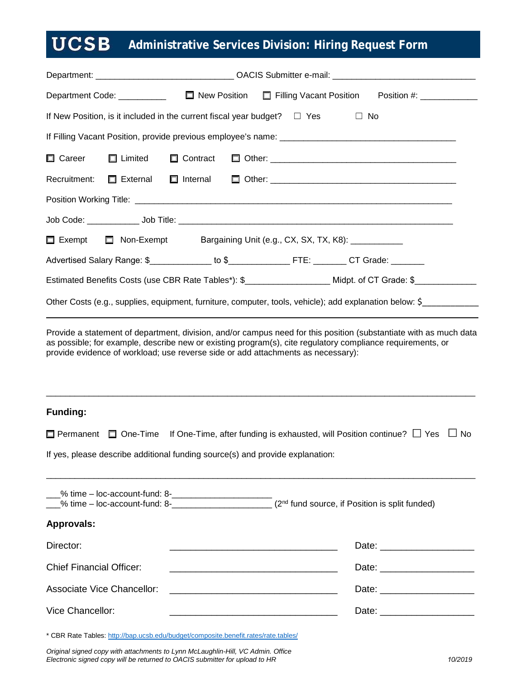## **UCSB Administrative Services Division: Hiring Request Form**

| If New Position, is it included in the current fiscal year budget? $\square$ Yes $\square$ No                 |  |  |  |  |  |  |
|---------------------------------------------------------------------------------------------------------------|--|--|--|--|--|--|
|                                                                                                               |  |  |  |  |  |  |
|                                                                                                               |  |  |  |  |  |  |
|                                                                                                               |  |  |  |  |  |  |
|                                                                                                               |  |  |  |  |  |  |
|                                                                                                               |  |  |  |  |  |  |
| □ Exempt □ Non-Exempt Bargaining Unit (e.g., CX, SX, TX, K8): __________                                      |  |  |  |  |  |  |
| Advertised Salary Range: \$_______________ to \$________________FTE: ________ CT Grade: ________              |  |  |  |  |  |  |
| Estimated Benefits Costs (use CBR Rate Tables*): \$______________________ Midpt. of CT Grade: \$_____________ |  |  |  |  |  |  |
| Other Costs (e.g., supplies, equipment, furniture, computer, tools, vehicle); add explanation below: \$       |  |  |  |  |  |  |

Provide a statement of department, division, and/or campus need for this position (substantiate with as much data as possible; for example, describe new or existing program(s), cite regulatory compliance requirements, or provide evidence of workload; use reverse side or add attachments as necessary):

\_\_\_\_\_\_\_\_\_\_\_\_\_\_\_\_\_\_\_\_\_\_\_\_\_\_\_\_\_\_\_\_\_\_\_\_\_\_\_\_\_\_\_\_\_\_\_\_\_\_\_\_\_\_\_\_\_\_\_\_\_\_\_\_\_\_\_\_\_\_\_\_\_\_\_\_\_\_\_\_\_\_\_\_\_\_\_\_\_\_

## **Funding:**

|  | $\Box$ Permanent $\Box$ One-Time If One-Time, after funding is exhausted, will Position continue? $\Box$ Yes $\Box$ No |  |
|--|------------------------------------------------------------------------------------------------------------------------|--|
|--|------------------------------------------------------------------------------------------------------------------------|--|

\_\_\_\_\_\_\_\_\_\_\_\_\_\_\_\_\_\_\_\_\_\_\_\_\_\_\_\_\_\_\_\_\_\_\_\_\_\_\_\_\_\_\_\_\_\_\_\_\_\_\_\_\_\_\_\_\_\_\_\_\_\_\_\_\_\_\_\_\_\_\_\_\_\_\_\_\_\_\_\_\_\_\_\_\_\_\_\_\_\_

If yes, please describe additional funding source(s) and provide explanation:

| $\frac{9}{2}$ time – loc-account-fund: 8- $\frac{9}{2}$<br><u>%</u> time – loc-account-fund: 8- | $(2nd$ fund source, if Position is split funded)                                                                                                                                                                               |  |  |
|-------------------------------------------------------------------------------------------------|--------------------------------------------------------------------------------------------------------------------------------------------------------------------------------------------------------------------------------|--|--|
| <b>Approvals:</b>                                                                               |                                                                                                                                                                                                                                |  |  |
| Director:                                                                                       | Date: the contract of the contract of the contract of the contract of the contract of the contract of the contract of the contract of the contract of the contract of the contract of the contract of the contract of the cont |  |  |
| <b>Chief Financial Officer:</b>                                                                 | Date: the contract of the contract of the contract of the contract of the contract of the contract of the contract of the contract of the contract of the contract of the contract of the contract of the contract of the cont |  |  |
| Associate Vice Chancellor:<br><u> 1989 - John Stein, Amerikaansk politiker (</u> † 1920)        | Date: the contract of the contract of the contract of the contract of the contract of the contract of the contract of the contract of the contract of the contract of the contract of the contract of the contract of the cont |  |  |
| Vice Chancellor:                                                                                | Date: and the state of the state of the state of the state of the state of the state of the state of the state of the state of the state of the state of the state of the state of the state of the state of the state of the  |  |  |

\* CBR Rate Tables:<http://bap.ucsb.edu/budget/composite.benefit.rates/rate.tables/>

*Original signed copy with attachments to Lynn McLaughlin-Hill, VC Admin. Office Electronic signed copy will be returned to OACIS submitter for upload to HR 10/2019*